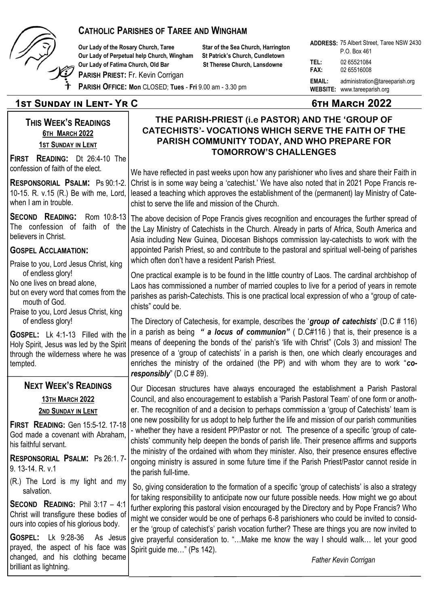

#### **CATHOLIC PARISHES OF TAREE AND WINGHAM**

**Our Lady of the Rosary Church, Taree Star of the Sea Church, Harrington Our Lady of Perpetual help Church, Wingham St Patrick's Church, Cundletown Our Lady of Fatima Church, Old Bar St Therese Church, Lansdowne** 

**PARISH PRIEST:** Fr. Kevin Corrigan

**ADDRESS:**  75 Albert Street, Taree NSW 2430 **TEL:** 02 65521084 **FAX:** 02 65516008 **EMAIL:** administration@tareeparish.org **WEBSITE:** www.tareeparish.org P.O. Box 461

## **PARISH OFFICE: Mon** CLOSED; **Tues** - **Fri** 9.00 am - 3.30 pm

## **1st Sunday in Lent- Yr C 6th March 2022**

## **THIS WEEK'S READINGS 6TH MARCH 2022 1ST SUNDAY IN LENT**

**FIRST READING:** Dt 26:4-10 The confession of faith of the elect.

**RESPONSORIAL PSALM:** Ps 90:1-2. 10-15. R. v.15 (R.) Be with me, Lord, when I am in trouble.

**SECOND READING:** Rom 10:8-13 The confession of faith of the believers in Christ.

#### **GOSPEL ACCLAMATION:**

Praise to you, Lord Jesus Christ, king of endless glory! No one lives on bread alone,

- but on every word that comes from the mouth of God.
- Praise to you, Lord Jesus Christ, king of endless glory!

**GOSPEL:** Lk 4:1-13 Filled with the Holy Spirit, Jesus was led by the Spirit through the wilderness where he was tempted.

#### **NEXT WEEK'S READINGS**

**13TH MARCH 2022 2ND SUNDAY IN LENT**

**FIRST READING:** Gen 15:5-12. 17-18 God made a covenant with Abraham, his faithful servant.

**RESPONSORIAL PSALM:** Ps 26:1. 7- 9. 13-14. R. v.1

(R.) The Lord is my light and my salvation.

**SECOND READING:** Phil 3:17 – 4:1 Christ will transfigure these bodies of ours into copies of his glorious body.

**GOSPEL:** Lk 9:28-36 As Jesus prayed, the aspect of his face was changed, and his clothing became brilliant as lightning.

#### **THE PARISH-PRIEST (i.e PASTOR) AND THE 'GROUP OF CATECHISTS'- VOCATIONS WHICH SERVE THE FAITH OF THE PARISH COMMUNITY TODAY, AND WHO PREPARE FOR TOMORROW'S CHALLENGES**

We have reflected in past weeks upon how any parishioner who lives and share their Faith in Christ is in some way being a 'catechist.' We have also noted that in 2021 Pope Francis released a teaching which approves the establishment of the (permanent) lay Ministry of Catechist to serve the life and mission of the Church.

The above decision of Pope Francis gives recognition and encourages the further spread of the Lay Ministry of Catechists in the Church. Already in parts of Africa, South America and Asia including New Guinea, Diocesan Bishops commission lay-catechists to work with the appointed Parish Priest, so and contribute to the pastoral and spiritual well-being of parishes which often don't have a resident Parish Priest.

One practical example is to be found in the little country of Laos. The cardinal archbishop of Laos has commissioned a number of married couples to live for a period of years in remote parishes as parish-Catechists. This is one practical local expression of who a "group of catechists" could be.

The Directory of Catechesis, for example, describes the '*group of catechists*' (D.C # 116) in a parish as being *" a locus of communion"* ( D.C#116 ) that is, their presence is a means of deepening the bonds of the' parish's 'life with Christ" (Cols 3) and mission! The presence of a 'group of catechists' in a parish is then, one which clearly encourages and enriches the ministry of the ordained (the PP) and with whom they are to work "*coresponsibly*" (D.C # 89).

Our Diocesan structures have always encouraged the establishment a Parish Pastoral Council, and also encouragement to establish a 'Parish Pastoral Team' of one form or another. The recognition of and a decision to perhaps commission a 'group of Catechists' team is one new possibility for us adopt to help further the life and mission of our parish communities - whether they have a resident PP/Pastor or not. The presence of a specific 'group of catechists' community help deepen the bonds of parish life. Their presence affirms and supports the ministry of the ordained with whom they minister. Also, their presence ensures effective ongoing ministry is assured in some future time if the Parish Priest/Pastor cannot reside in the parish full-time.

So, giving consideration to the formation of a specific 'group of catechists' is also a strategy for taking responsibility to anticipate now our future possible needs. How might we go about further exploring this pastoral vision encouraged by the Directory and by Pope Francis? Who might we consider would be one of perhaps 6-8 parishioners who could be invited to consider the 'group of catechist's' parish vocation further? These are things you are now invited to give prayerful consideration to. "…Make me know the way I should walk… let your good Spirit guide me…" (Ps 142).

*Father Kevin Corrigan*